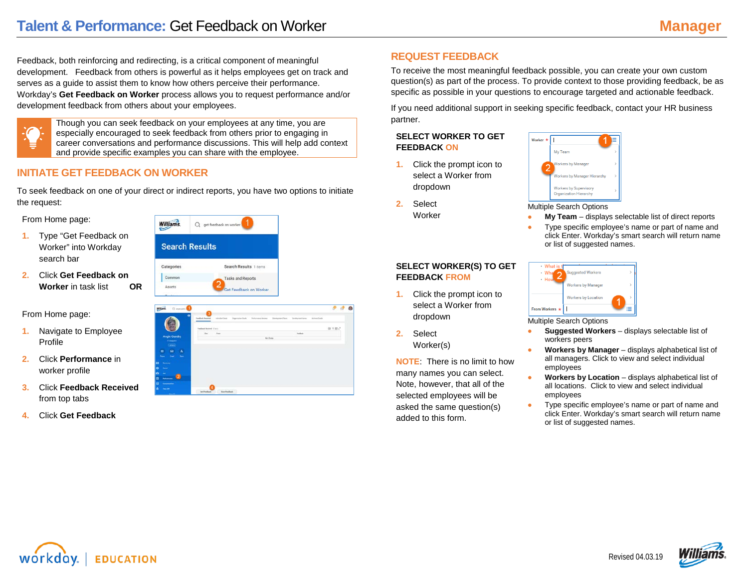Feedback, both reinforcing and redirecting, is a critical component of meaningful development. Feedback from others is powerful as it helps employees get on track and serves as a guide to assist them to know how others perceive their performance. Workday's **Get Feedback on Worker** process allows you to request performance and/or development feedback from others about your employees.



Though you can seek feedback on your employees at any time, you are especially encouraged to seek feedback from others prior to engaging in career conversations and performance discussions. This will help add context and provide specific examples you can share with the employee.

## **INITIATE GET FEEDBACK ON WORKER**

To seek feedback on one of your direct or indirect reports, you have two options to initiate the request:

From Home page:

- **1.** Type "Get Feedback on Worker" into Workday search bar
- **2.** Click **Get Feedback on Worker** in task list **OR**

From Home page:

- **1.** Navigate to Employee Profile
- **2.** Click **Performance** in worker profile
- **3.** Click **Feedback Received** from top tabs
- **4.** Click **Get Feedback**



| Q eurgen                            |                               |                      |  |                                                                                                                  |      |
|-------------------------------------|-------------------------------|----------------------|--|------------------------------------------------------------------------------------------------------------------|------|
| 6                                   |                               |                      |  | Toolook hasnet a debut Sein Specialism Solo - Petersona Doloos - Stoniganal Rent - Seniganal hans - Activat Code |      |
|                                     | <b>Inches Newton Electric</b> |                      |  |                                                                                                                  | 個室数式 |
| <b>Angie Guedry</b>                 | max.                          | <b>Fast</b>          |  | <b>Business</b>                                                                                                  |      |
| <b>Hangels</b>                      | <b>No Eata</b>                |                      |  |                                                                                                                  |      |
| $(A \rightarrow B)$                 |                               |                      |  |                                                                                                                  |      |
| $\mathbf{a}$<br>$\Delta$<br>e       |                               |                      |  |                                                                                                                  |      |
| <b>Seat 1</b><br>Terr<br>$\sim$     |                               |                      |  |                                                                                                                  |      |
| в<br><b>Services</b>                |                               |                      |  |                                                                                                                  |      |
| $\bullet$<br><b>Good</b>            |                               |                      |  |                                                                                                                  |      |
| B<br>w                              |                               |                      |  |                                                                                                                  |      |
| a<br><b><i><u>Subunuac</u></i></b>  |                               |                      |  |                                                                                                                  |      |
| $\blacksquare$<br><b>CONTRACTOR</b> |                               |                      |  |                                                                                                                  |      |
| o<br>$m = 1$                        |                               |                      |  |                                                                                                                  |      |
| <b>Service</b>                      | <b>Get Presidents</b>         | <b>Rive Feedback</b> |  |                                                                                                                  |      |

## **REQUEST FEEDBACK**

To receive the most meaningful feedback possible, you can create your own custom question(s) as part of the process. To provide context to those providing feedback, be as specific as possible in your questions to encourage targeted and actionable feedback.

If you need additional support in seeking specific feedback, contact your HR business partner.

### **SELECT WORKER TO GET FEEDBACK ON**

**1.** Click the prompt icon to select a Worker from dropdown

**SELECT WORKER(S) TO GET**

**1.** Click the prompt icon to select a Worker from

**NOTE**: There is no limit to how many names you can select. Note, however, that all of the selected employees will be asked the same question(s)

**FEEDBACK FROM**

dropdown

Worker(s)

added to this form.

**2.** Select

**2.** Select Worker



Multiple Search Options

- **My Team** displays selectable list of direct reports
- Type specific employee's name or part of name and click Enter. Workday's smart search will return name or list of suggested names.

#### $\cdot$  What agested Workers  $\cdot$  When  $+$  Ho **Vorkers by Manage Workers by Location From Workers**:

Multiple Search Options

- **Suggested Workers**  displays selectable list of workers peers
- **Workers by Manager**  displays alphabetical list of all managers. Click to view and select individual employees
- **Workers by Location** displays alphabetical list of all locations. Click to view and select individual employees
- Type specific employee's name or part of name and click Enter. Workday's smart search will return name or list of suggested names.